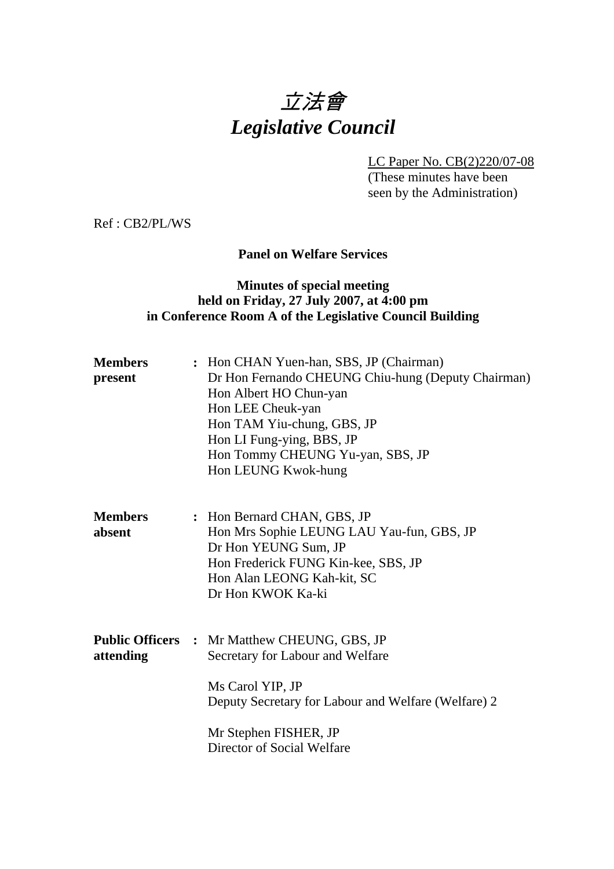# 立法會 *Legislative Council*

LC Paper No. CB(2)220/07-08

(These minutes have been seen by the Administration)

Ref : CB2/PL/WS

## **Panel on Welfare Services**

## **Minutes of special meeting held on Friday, 27 July 2007, at 4:00 pm in Conference Room A of the Legislative Council Building**

| <b>Members</b><br>present | : Hon CHAN Yuen-han, SBS, JP (Chairman)<br>Dr Hon Fernando CHEUNG Chiu-hung (Deputy Chairman)<br>Hon Albert HO Chun-yan<br>Hon LEE Cheuk-yan<br>Hon TAM Yiu-chung, GBS, JP<br>Hon LI Fung-ying, BBS, JP<br>Hon Tommy CHEUNG Yu-yan, SBS, JP<br>Hon LEUNG Kwok-hung |
|---------------------------|--------------------------------------------------------------------------------------------------------------------------------------------------------------------------------------------------------------------------------------------------------------------|
| <b>Members</b><br>absent  | : Hon Bernard CHAN, GBS, JP<br>Hon Mrs Sophie LEUNG LAU Yau-fun, GBS, JP<br>Dr Hon YEUNG Sum, JP<br>Hon Frederick FUNG Kin-kee, SBS, JP<br>Hon Alan LEONG Kah-kit, SC<br>Dr Hon KWOK Ka-ki                                                                         |
| attending                 | <b>Public Officers : Mr Matthew CHEUNG, GBS, JP</b><br>Secretary for Labour and Welfare<br>Ms Carol YIP, JP<br>Deputy Secretary for Labour and Welfare (Welfare) 2<br>Mr Stephen FISHER, JP<br>Director of Social Welfare                                          |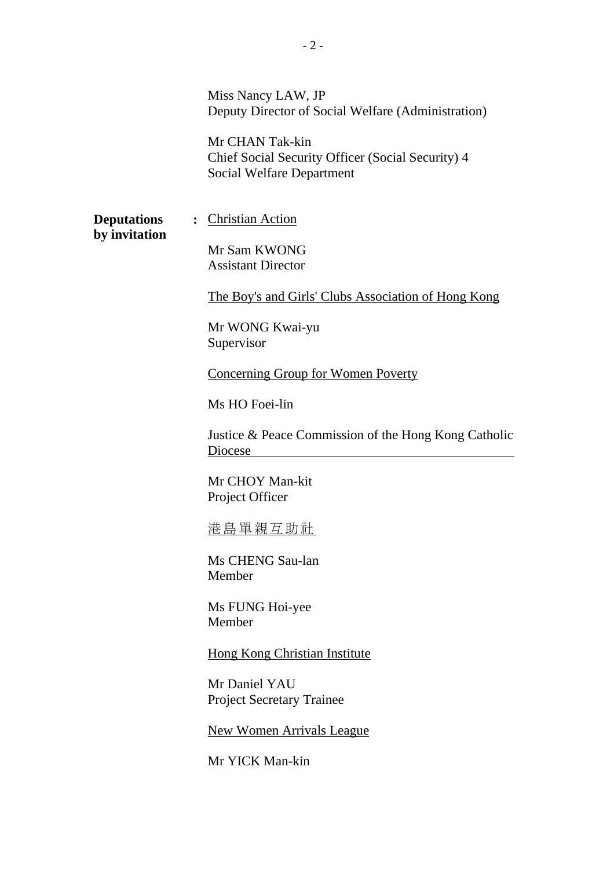Miss Nancy LAW, JP Deputy Director of Social Welfare (Administration)

Mr CHAN Tak-kin Chief Social Security Officer (Social Security) 4 Social Welfare Department

**by invitation** 

**Deputations** : Christian Action

Mr Sam KWONG Assistant Director

The Boy's and Girls' Clubs Association of Hong Kong

Mr WONG Kwai-yu Supervisor

Concerning Group for Women Poverty

Ms HO Foei-lin

Justice & Peace Commission of the Hong Kong Catholic Diocese

Mr CHOY Man-kit Project Officer

港島單親互助社

Ms CHENG Sau-lan Member

Ms FUNG Hoi-yee Member

Hong Kong Christian Institute

Mr Daniel YAU Project Secretary Trainee

New Women Arrivals League

Mr YICK Man-kin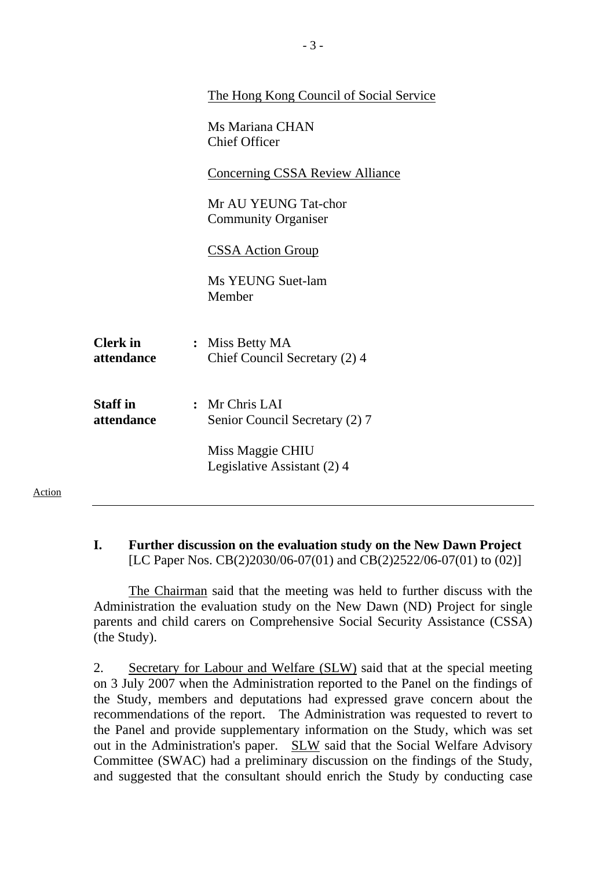|                               | The Hong Kong Council of Social Service            |
|-------------------------------|----------------------------------------------------|
|                               | Ms Mariana CHAN<br><b>Chief Officer</b>            |
|                               | <b>Concerning CSSA Review Alliance</b>             |
|                               | Mr AU YEUNG Tat-chor<br><b>Community Organiser</b> |
|                               | <b>CSSA Action Group</b>                           |
|                               | Ms YEUNG Suet-lam<br>Member                        |
| <b>Clerk</b> in<br>attendance | : Miss Betty MA<br>Chief Council Secretary (2) 4   |
| <b>Staff</b> in<br>attendance | : Mr Chris LAI<br>Senior Council Secretary (2) 7   |
|                               | Miss Maggie CHIU<br>Legislative Assistant (2) 4    |
|                               |                                                    |

## **I. Further discussion on the evaluation study on the New Dawn Project**  [LC Paper Nos. CB(2)2030/06-07(01) and CB(2)2522/06-07(01) to (02)]

Action

1. The Chairman said that the meeting was held to further discuss with the Administration the evaluation study on the New Dawn (ND) Project for single parents and child carers on Comprehensive Social Security Assistance (CSSA) (the Study).

2. Secretary for Labour and Welfare (SLW) said that at the special meeting on 3 July 2007 when the Administration reported to the Panel on the findings of the Study, members and deputations had expressed grave concern about the recommendations of the report. The Administration was requested to revert to the Panel and provide supplementary information on the Study, which was set out in the Administration's paper. SLW said that the Social Welfare Advisory Committee (SWAC) had a preliminary discussion on the findings of the Study, and suggested that the consultant should enrich the Study by conducting case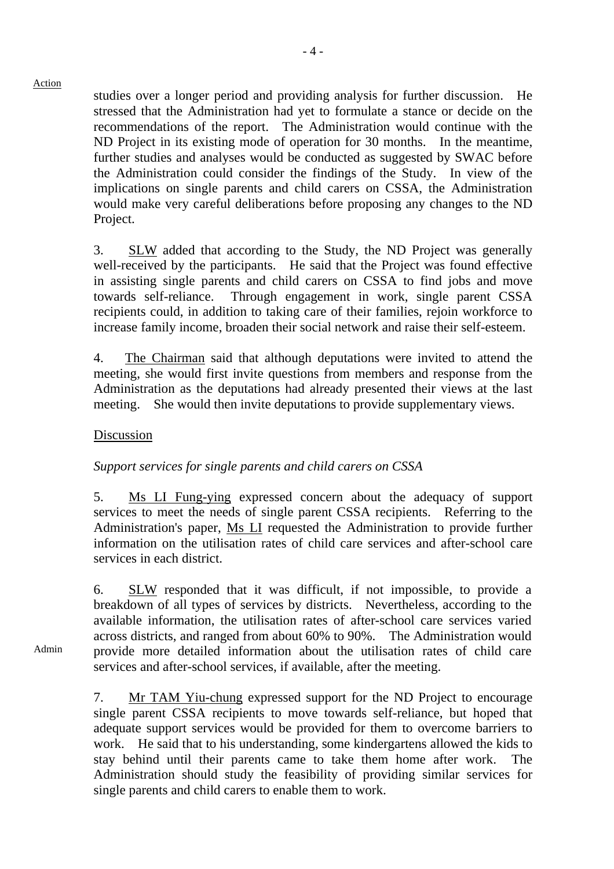studies over a longer period and providing analysis for further discussion. He stressed that the Administration had yet to formulate a stance or decide on the recommendations of the report. The Administration would continue with the ND Project in its existing mode of operation for 30 months. In the meantime, further studies and analyses would be conducted as suggested by SWAC before the Administration could consider the findings of the Study. In view of the implications on single parents and child carers on CSSA, the Administration would make very careful deliberations before proposing any changes to the ND Project.

3. SLW added that according to the Study, the ND Project was generally well-received by the participants. He said that the Project was found effective in assisting single parents and child carers on CSSA to find jobs and move towards self-reliance. Through engagement in work, single parent CSSA recipients could, in addition to taking care of their families, rejoin workforce to increase family income, broaden their social network and raise their self-esteem.

4. The Chairman said that although deputations were invited to attend the meeting, she would first invite questions from members and response from the Administration as the deputations had already presented their views at the last meeting. She would then invite deputations to provide supplementary views.

#### Discussion

### *Support services for single parents and child carers on CSSA*

5. Ms LI Fung-ying expressed concern about the adequacy of support services to meet the needs of single parent CSSA recipients. Referring to the Administration's paper, Ms LI requested the Administration to provide further information on the utilisation rates of child care services and after-school care services in each district.

6. SLW responded that it was difficult, if not impossible, to provide a breakdown of all types of services by districts. Nevertheless, according to the available information, the utilisation rates of after-school care services varied across districts, and ranged from about 60% to 90%. The Administration would provide more detailed information about the utilisation rates of child care services and after-school services, if available, after the meeting.

7. Mr TAM Yiu-chung expressed support for the ND Project to encourage single parent CSSA recipients to move towards self-reliance, but hoped that adequate support services would be provided for them to overcome barriers to work. He said that to his understanding, some kindergartens allowed the kids to stay behind until their parents came to take them home after work. The Administration should study the feasibility of providing similar services for single parents and child carers to enable them to work.

Admin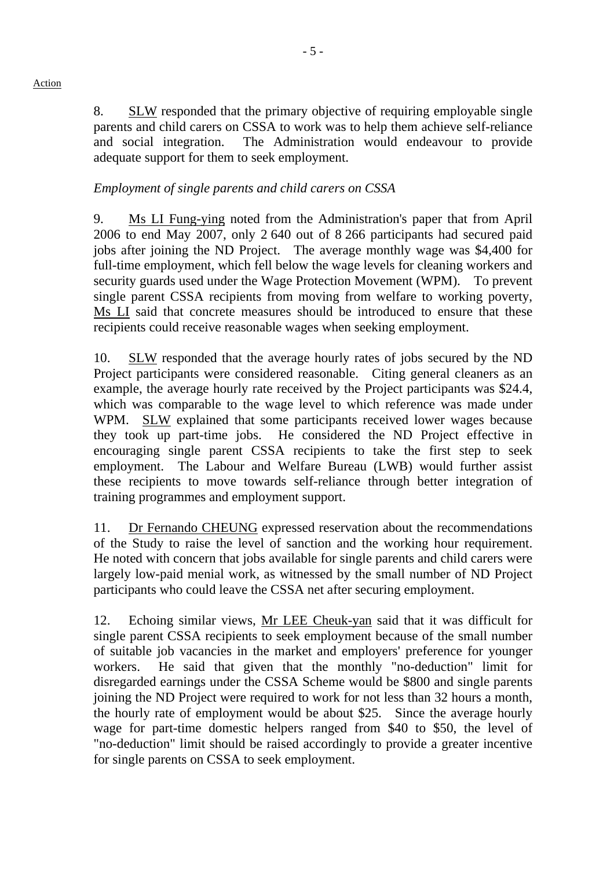8. SLW responded that the primary objective of requiring employable single parents and child carers on CSSA to work was to help them achieve self-reliance and social integration. The Administration would endeavour to provide adequate support for them to seek employment.

## *Employment of single parents and child carers on CSSA*

9. Ms LI Fung-ying noted from the Administration's paper that from April 2006 to end May 2007, only 2 640 out of 8 266 participants had secured paid jobs after joining the ND Project. The average monthly wage was \$4,400 for full-time employment, which fell below the wage levels for cleaning workers and security guards used under the Wage Protection Movement (WPM). To prevent single parent CSSA recipients from moving from welfare to working poverty, Ms LI said that concrete measures should be introduced to ensure that these recipients could receive reasonable wages when seeking employment.

10. SLW responded that the average hourly rates of jobs secured by the ND Project participants were considered reasonable. Citing general cleaners as an example, the average hourly rate received by the Project participants was \$24.4, which was comparable to the wage level to which reference was made under WPM. SLW explained that some participants received lower wages because they took up part-time jobs. He considered the ND Project effective in encouraging single parent CSSA recipients to take the first step to seek employment. The Labour and Welfare Bureau (LWB) would further assist these recipients to move towards self-reliance through better integration of training programmes and employment support.

11. Dr Fernando CHEUNG expressed reservation about the recommendations of the Study to raise the level of sanction and the working hour requirement. He noted with concern that jobs available for single parents and child carers were largely low-paid menial work, as witnessed by the small number of ND Project participants who could leave the CSSA net after securing employment.

12. Echoing similar views, Mr LEE Cheuk-yan said that it was difficult for single parent CSSA recipients to seek employment because of the small number of suitable job vacancies in the market and employers' preference for younger workers. He said that given that the monthly "no-deduction" limit for disregarded earnings under the CSSA Scheme would be \$800 and single parents joining the ND Project were required to work for not less than 32 hours a month, the hourly rate of employment would be about \$25. Since the average hourly wage for part-time domestic helpers ranged from \$40 to \$50, the level of "no-deduction" limit should be raised accordingly to provide a greater incentive for single parents on CSSA to seek employment.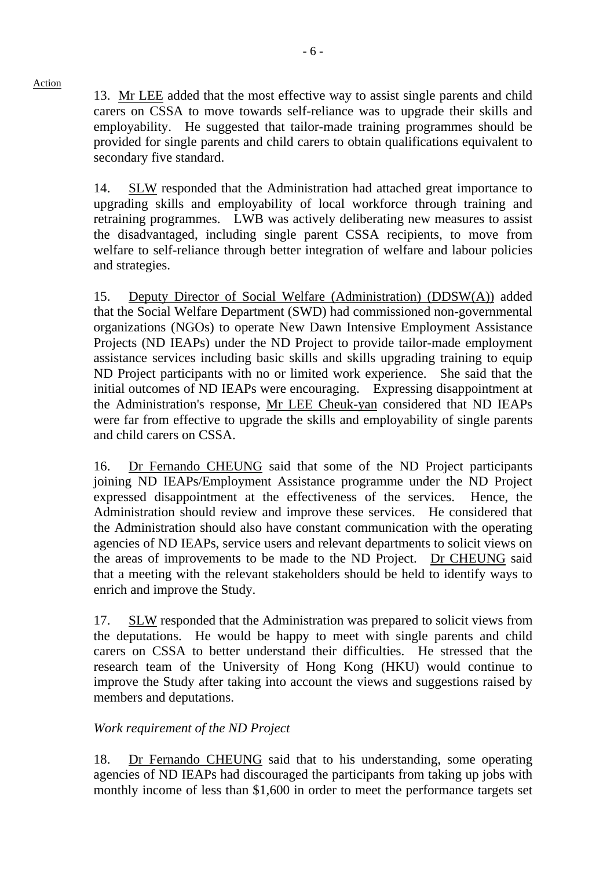13. Mr LEE added that the most effective way to assist single parents and child carers on CSSA to move towards self-reliance was to upgrade their skills and employability. He suggested that tailor-made training programmes should be provided for single parents and child carers to obtain qualifications equivalent to secondary five standard.

14. SLW responded that the Administration had attached great importance to upgrading skills and employability of local workforce through training and retraining programmes. LWB was actively deliberating new measures to assist the disadvantaged, including single parent CSSA recipients, to move from welfare to self-reliance through better integration of welfare and labour policies and strategies.

15. Deputy Director of Social Welfare (Administration) (DDSW(A)) added that the Social Welfare Department (SWD) had commissioned non-governmental organizations (NGOs) to operate New Dawn Intensive Employment Assistance Projects (ND IEAPs) under the ND Project to provide tailor-made employment assistance services including basic skills and skills upgrading training to equip ND Project participants with no or limited work experience. She said that the initial outcomes of ND IEAPs were encouraging. Expressing disappointment at the Administration's response, Mr LEE Cheuk-yan considered that ND IEAPs were far from effective to upgrade the skills and employability of single parents and child carers on CSSA.

16. Dr Fernando CHEUNG said that some of the ND Project participants joining ND IEAPs/Employment Assistance programme under the ND Project expressed disappointment at the effectiveness of the services. Hence, the Administration should review and improve these services. He considered that the Administration should also have constant communication with the operating agencies of ND IEAPs, service users and relevant departments to solicit views on the areas of improvements to be made to the ND Project. Dr CHEUNG said that a meeting with the relevant stakeholders should be held to identify ways to enrich and improve the Study.

17. SLW responded that the Administration was prepared to solicit views from the deputations. He would be happy to meet with single parents and child carers on CSSA to better understand their difficulties. He stressed that the research team of the University of Hong Kong (HKU) would continue to improve the Study after taking into account the views and suggestions raised by members and deputations.

## *Work requirement of the ND Project*

18. Dr Fernando CHEUNG said that to his understanding, some operating agencies of ND IEAPs had discouraged the participants from taking up jobs with monthly income of less than \$1,600 in order to meet the performance targets set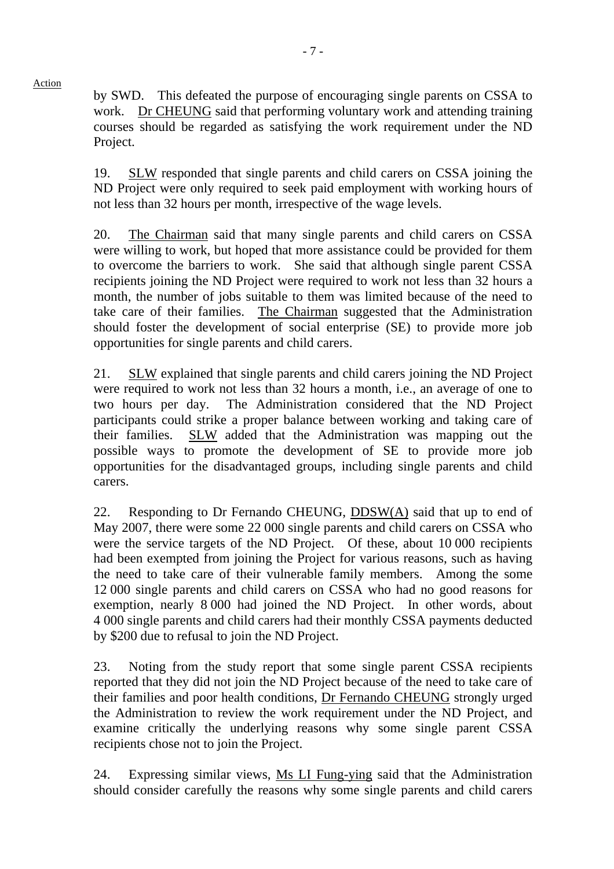by SWD. This defeated the purpose of encouraging single parents on CSSA to work. Dr CHEUNG said that performing voluntary work and attending training courses should be regarded as satisfying the work requirement under the ND Project.

19. SLW responded that single parents and child carers on CSSA joining the ND Project were only required to seek paid employment with working hours of not less than 32 hours per month, irrespective of the wage levels.

20. The Chairman said that many single parents and child carers on CSSA were willing to work, but hoped that more assistance could be provided for them to overcome the barriers to work. She said that although single parent CSSA recipients joining the ND Project were required to work not less than 32 hours a month, the number of jobs suitable to them was limited because of the need to take care of their families. The Chairman suggested that the Administration should foster the development of social enterprise (SE) to provide more job opportunities for single parents and child carers.

21. SLW explained that single parents and child carers joining the ND Project were required to work not less than 32 hours a month, i.e., an average of one to two hours per day. The Administration considered that the ND Project participants could strike a proper balance between working and taking care of their families. SLW added that the Administration was mapping out the possible ways to promote the development of SE to provide more job opportunities for the disadvantaged groups, including single parents and child carers.

22. Responding to Dr Fernando CHEUNG,  $DDSW(A)$  said that up to end of May 2007, there were some 22 000 single parents and child carers on CSSA who were the service targets of the ND Project. Of these, about 10 000 recipients had been exempted from joining the Project for various reasons, such as having the need to take care of their vulnerable family members. Among the some 12 000 single parents and child carers on CSSA who had no good reasons for exemption, nearly 8 000 had joined the ND Project. In other words, about 4 000 single parents and child carers had their monthly CSSA payments deducted by \$200 due to refusal to join the ND Project.

23. Noting from the study report that some single parent CSSA recipients reported that they did not join the ND Project because of the need to take care of their families and poor health conditions, Dr Fernando CHEUNG strongly urged the Administration to review the work requirement under the ND Project, and examine critically the underlying reasons why some single parent CSSA recipients chose not to join the Project.

24. Expressing similar views, Ms LI Fung-ying said that the Administration should consider carefully the reasons why some single parents and child carers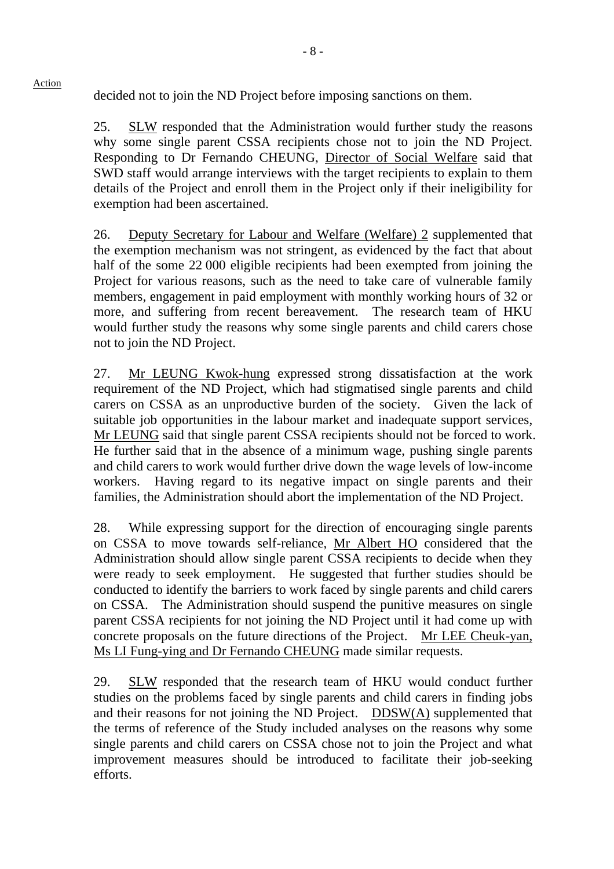decided not to join the ND Project before imposing sanctions on them.

Action

25. SLW responded that the Administration would further study the reasons why some single parent CSSA recipients chose not to join the ND Project. Responding to Dr Fernando CHEUNG, Director of Social Welfare said that SWD staff would arrange interviews with the target recipients to explain to them details of the Project and enroll them in the Project only if their ineligibility for exemption had been ascertained.

26. Deputy Secretary for Labour and Welfare (Welfare) 2 supplemented that the exemption mechanism was not stringent, as evidenced by the fact that about half of the some 22 000 eligible recipients had been exempted from joining the Project for various reasons, such as the need to take care of vulnerable family members, engagement in paid employment with monthly working hours of 32 or more, and suffering from recent bereavement. The research team of HKU would further study the reasons why some single parents and child carers chose not to join the ND Project.

27. Mr LEUNG Kwok-hung expressed strong dissatisfaction at the work requirement of the ND Project, which had stigmatised single parents and child carers on CSSA as an unproductive burden of the society. Given the lack of suitable job opportunities in the labour market and inadequate support services, Mr LEUNG said that single parent CSSA recipients should not be forced to work. He further said that in the absence of a minimum wage, pushing single parents and child carers to work would further drive down the wage levels of low-income workers. Having regard to its negative impact on single parents and their families, the Administration should abort the implementation of the ND Project.

28. While expressing support for the direction of encouraging single parents on CSSA to move towards self-reliance, Mr Albert HO considered that the Administration should allow single parent CSSA recipients to decide when they were ready to seek employment. He suggested that further studies should be conducted to identify the barriers to work faced by single parents and child carers on CSSA. The Administration should suspend the punitive measures on single parent CSSA recipients for not joining the ND Project until it had come up with concrete proposals on the future directions of the Project. Mr LEE Cheuk-yan, Ms LI Fung-ying and Dr Fernando CHEUNG made similar requests.

29. SLW responded that the research team of HKU would conduct further studies on the problems faced by single parents and child carers in finding jobs and their reasons for not joining the ND Project. DDSW(A) supplemented that the terms of reference of the Study included analyses on the reasons why some single parents and child carers on CSSA chose not to join the Project and what improvement measures should be introduced to facilitate their job-seeking efforts.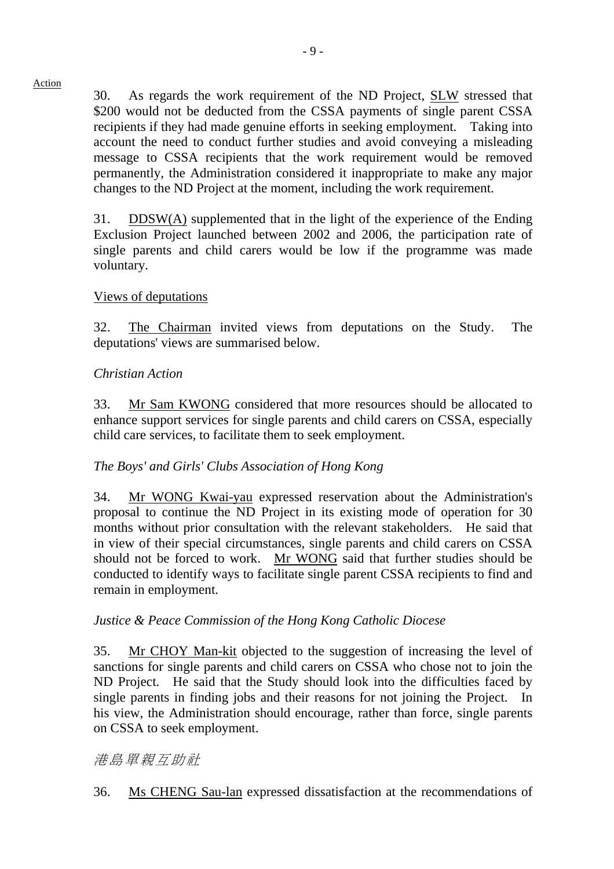30. As regards the work requirement of the ND Project, SLW stressed that \$200 would not be deducted from the CSSA payments of single parent CSSA recipients if they had made genuine efforts in seeking employment. Taking into account the need to conduct further studies and avoid conveying a misleading message to CSSA recipients that the work requirement would be removed permanently, the Administration considered it inappropriate to make any major changes to the ND Project at the moment, including the work requirement.

31. DDSW(A) supplemented that in the light of the experience of the Ending Exclusion Project launched between 2002 and 2006, the participation rate of single parents and child carers would be low if the programme was made voluntary.

## Views of deputations

32. The Chairman invited views from deputations on the Study. The deputations' views are summarised below.

### *Christian Action*

33. Mr Sam KWONG considered that more resources should be allocated to enhance support services for single parents and child carers on CSSA, especially child care services, to facilitate them to seek employment.

## *The Boys' and Girls' Clubs Association of Hong Kong*

34. Mr WONG Kwai-yau expressed reservation about the Administration's proposal to continue the ND Project in its existing mode of operation for 30 months without prior consultation with the relevant stakeholders. He said that in view of their special circumstances, single parents and child carers on CSSA should not be forced to work. Mr WONG said that further studies should be conducted to identify ways to facilitate single parent CSSA recipients to find and remain in employment.

### *Justice & Peace Commission of the Hong Kong Catholic Diocese*

35. Mr CHOY Man-kit objected to the suggestion of increasing the level of sanctions for single parents and child carers on CSSA who chose not to join the ND Project. He said that the Study should look into the difficulties faced by single parents in finding jobs and their reasons for not joining the Project. In his view, the Administration should encourage, rather than force, single parents on CSSA to seek employment.

## 港島單親互助社

36. Ms CHENG Sau-lan expressed dissatisfaction at the recommendations of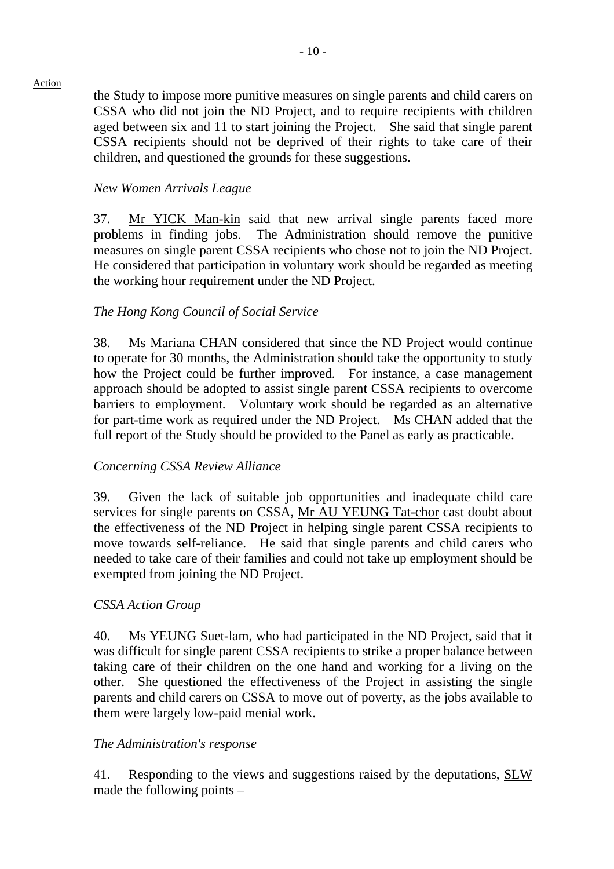the Study to impose more punitive measures on single parents and child carers on CSSA who did not join the ND Project, and to require recipients with children aged between six and 11 to start joining the Project. She said that single parent CSSA recipients should not be deprived of their rights to take care of their children, and questioned the grounds for these suggestions.

## *New Women Arrivals League*

37. Mr YICK Man-kin said that new arrival single parents faced more problems in finding jobs. The Administration should remove the punitive measures on single parent CSSA recipients who chose not to join the ND Project. He considered that participation in voluntary work should be regarded as meeting the working hour requirement under the ND Project.

## *The Hong Kong Council of Social Service*

38. Ms Mariana CHAN considered that since the ND Project would continue to operate for 30 months, the Administration should take the opportunity to study how the Project could be further improved. For instance, a case management approach should be adopted to assist single parent CSSA recipients to overcome barriers to employment. Voluntary work should be regarded as an alternative for part-time work as required under the ND Project. Ms CHAN added that the full report of the Study should be provided to the Panel as early as practicable.

### *Concerning CSSA Review Alliance*

39. Given the lack of suitable job opportunities and inadequate child care services for single parents on CSSA, Mr AU YEUNG Tat-chor cast doubt about the effectiveness of the ND Project in helping single parent CSSA recipients to move towards self-reliance. He said that single parents and child carers who needed to take care of their families and could not take up employment should be exempted from joining the ND Project.

### *CSSA Action Group*

40. Ms YEUNG Suet-lam, who had participated in the ND Project, said that it was difficult for single parent CSSA recipients to strike a proper balance between taking care of their children on the one hand and working for a living on the other. She questioned the effectiveness of the Project in assisting the single parents and child carers on CSSA to move out of poverty, as the jobs available to them were largely low-paid menial work.

### *The Administration's response*

41. Responding to the views and suggestions raised by the deputations, SLW made the following points –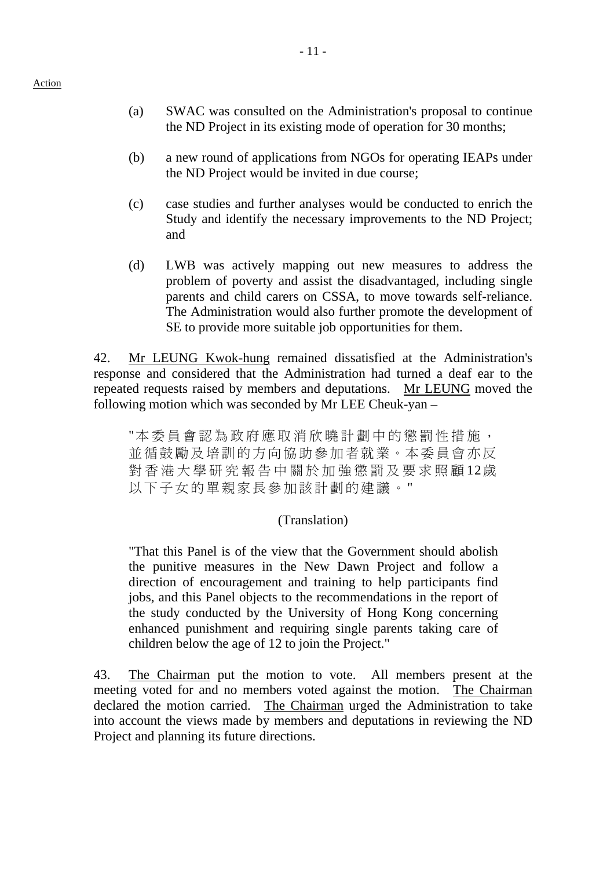- (a) SWAC was consulted on the Administration's proposal to continue the ND Project in its existing mode of operation for 30 months;
- (b) a new round of applications from NGOs for operating IEAPs under the ND Project would be invited in due course;
- (c) case studies and further analyses would be conducted to enrich the Study and identify the necessary improvements to the ND Project; and
- (d) LWB was actively mapping out new measures to address the problem of poverty and assist the disadvantaged, including single parents and child carers on CSSA, to move towards self-reliance. The Administration would also further promote the development of SE to provide more suitable job opportunities for them.

42. Mr LEUNG Kwok-hung remained dissatisfied at the Administration's response and considered that the Administration had turned a deaf ear to the repeated requests raised by members and deputations. Mr LEUNG moved the following motion which was seconded by Mr LEE Cheuk-yan –

"本委員會認為政府應取消欣曉計劃中的懲罰性措施, 並循鼓勵及培訓的方向協助參加者就業。本委員會亦反 對香港大學研究報告中關於加強懲罰及要求照顧 12歲 以下子女的單親家長參加該計劃的建議。"

### (Translation)

"That this Panel is of the view that the Government should abolish the punitive measures in the New Dawn Project and follow a direction of encouragement and training to help participants find jobs, and this Panel objects to the recommendations in the report of the study conducted by the University of Hong Kong concerning enhanced punishment and requiring single parents taking care of children below the age of 12 to join the Project."

43. The Chairman put the motion to vote. All members present at the meeting voted for and no members voted against the motion. The Chairman declared the motion carried. The Chairman urged the Administration to take into account the views made by members and deputations in reviewing the ND Project and planning its future directions.